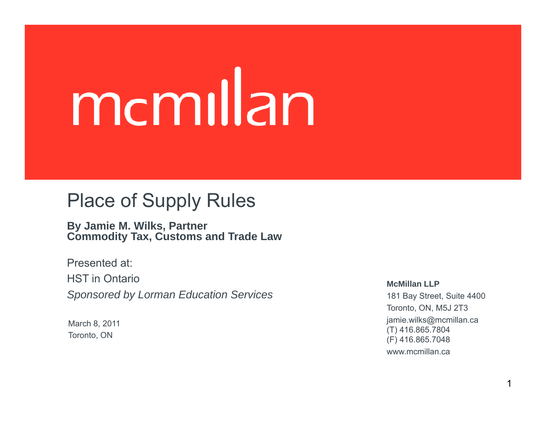# mcmillan

### Place of Supply Rules

**By Jamie M. Wilks, Partner Commodity Tax Customs and Trade Law Tax,** 

Presented at:HST in Ontario*S S Sponsored by Lorman Education Services*

March 8, 2011 Toronto, ON

**McMillan LLP**

181 Bay Street, Suite 4400 Toronto, ON, M5J 2T3 jamie.wilks@mcmillan.ca (T) 416.865.7804 (F) 416.865.7048 www.mcmillan.ca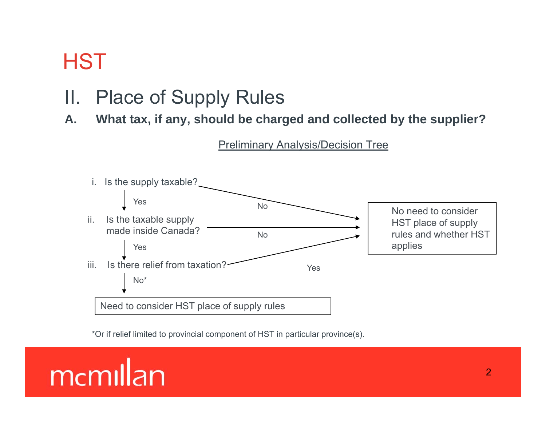### II. Place of Supply Rules

**A. What tax, if any, should be charged and collected by the supplier?**



\*Or if relief limited to provincial component of HST in particular province(s).

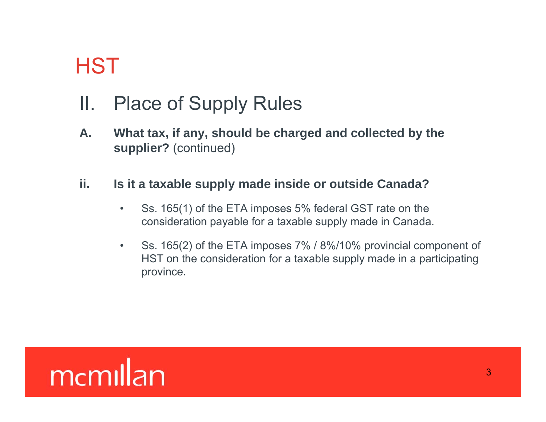### II. Place of Supply Rules

A. What tax, if any, should be charged and collected by the **supplier?** (continued)

### **ii. Is it <sup>a</sup> taxable supply made inside or outside Canada?**

- • Ss. 165(1) of the ETA imposes 5% federal GST rate on the consideration payable for a taxable supply made in Canada.
- $\bullet$  Ss. 165(2) of the ETA imposes 7% / 8%/10% provincial component of HST on the consideration for a taxable supply made in a participating province.

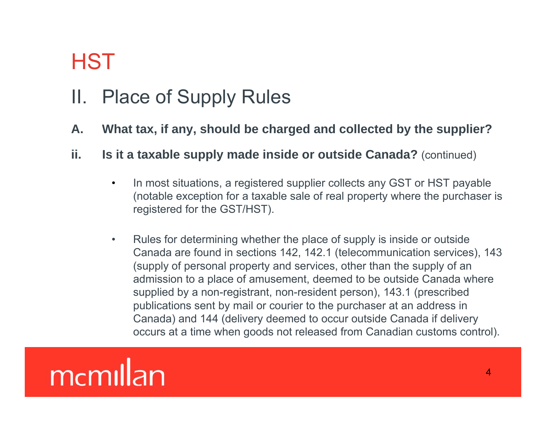### II. Place of Supply Rules

- A. What tax, if any, should be charged and collected by the supplier?
- **ii. Is it a taxable supply made inside or outside Canada?** (continued)
	- $\bullet$ In most situations, a registered supplier collects any GST or HST payable (notable exception for a taxable sale of real property where the purchaser is registered for the GST/HST).
	- •Rules for determining whether the place of supply is inside or outside Canada are found in sections 142, 142.1 (telecommunication services), 143 (supply of personal property and services, other than the supply of an admission to a place of amusement, deemed to be outside Canada where supplied by a non-registrant, non-resident person), 143.1 (prescribed publications sent by mail or courier to the purchaser at an address in Canada) and 144 (delivery deemed to occur outside Canada if delivery occurs at a time when goods not released from Canadian customs control).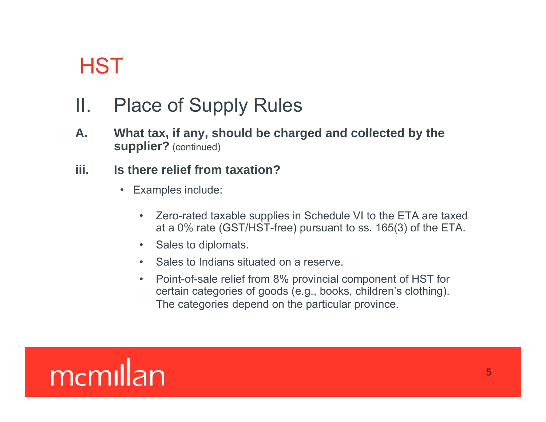### II. Place of Supply Rules

A. What tax, if any, should be charged and collected by the **supplier?** (continued)

### **iii. Is there relief from taxation?**

- $\bullet$  Examples include:
	- Zero-rated taxable supplies in Schedule VI to the ETA are taxed at a 0% rate (GST/HST-free) pursuant to ss. 165(3) of the ETA.
	- Sales to diplomats.
	- Sales to Indians situated on a reserve.
	- Point-of-sale relief from 8% provincial component of HST for certain categories of goods (e.g., books, children's clothing). The categories depend on the particular province.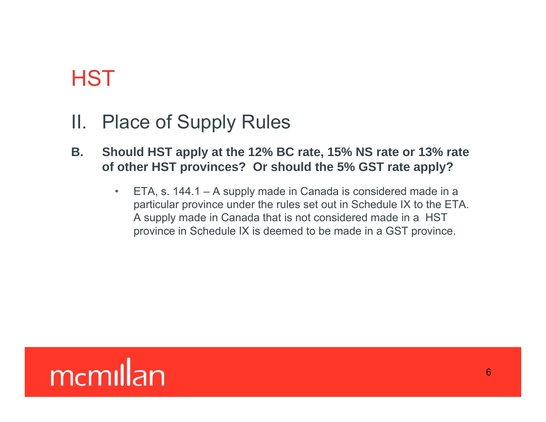### II. Place of Supply Rules

- **B. Should HST apply at the 12% BC rate, 15% NS rate or 13% rate of other HST provinces? Or should the 5% GST rate apply?**
	- • ETA, s. 144.1 – A supply made in Canada is considered made in a particular province under the rules set out in Schedule IX to the ETA. A supply made in Canada that is not considered made in a HST province in Schedule IX is deemed to be made in a GST province.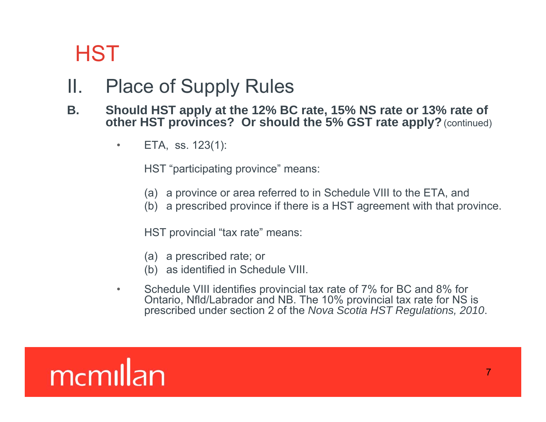### II. Place of Supply Rules

### **B. Should HST apply at the 12% BC rate, 15% NS rate or 13% rate of other HST provinces? Or should the 5% GST rate apply?** (continued)

•ETA, ss. 123(1):

HST "participating province" means:

- (a) a province or area referred to in Schedule VIII to the ETA, and
- (b) a prescribed province if there is a HST agreement with that province.

HST provincial "tax rate" means:

- (a) a prescribed rate; or
- (b) as identified in Schedule VIII.
- • Schedule VIII identifies provincial tax rate of 7% for BC and 8% for Ontario, Nfld/Labrador and NB. The 10% provincial tax rate for NS is prescribed under section 2 of the *Nova Scotia HST Regulations, 2010*.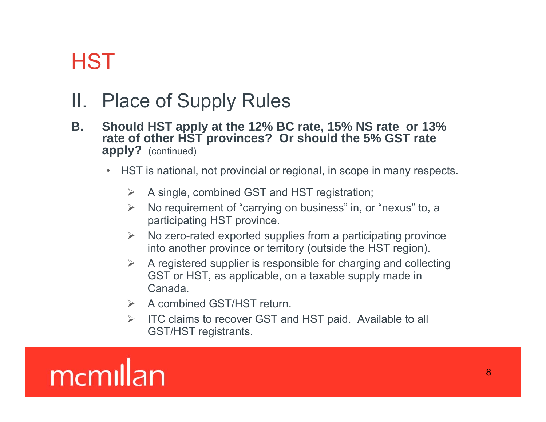### II. Place of Supply Rules

- **B.** Should HST apply at the 12% BC rate, 15% NS rate or 13% **rate of other HST provinces? Or should the 5% GST rate apply?** (continued)
	- • HST is national, not provincial or regional, in scope in many respects.
		- $\sum_{i=1}^{n}$ A single, combined GST and HST registration;
		- $\triangleright$  No requirement of "carrying on business" in, or "nexus" to, a participating HST province.
		- $\triangleright$  No zero-rated exported supplies from a participating province into another province or territory (outside the HST region).
		- $\triangleright$  A registered supplier is responsible for charging and collecting GST or HST, as applicable, on a taxable supply made in Canada.
		- **►** A combined GST/HST return.
		- $\sum_{i=1}^{n}$  ITC claims to recover GST and HST paid. Available to all GST/HST registrants.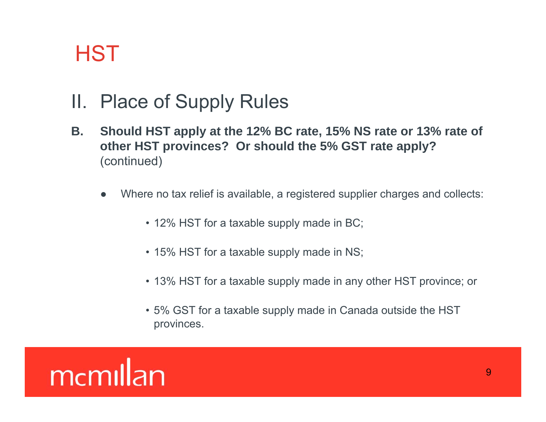- II. Place of Supply Rules
- B. Should HST apply at the 12% BC rate, 15% NS rate or 13% rate of **other HST provinces? Or should the 5% GST rate apply?** (continued)
	- ● Where no tax relief is available, a registered supplier charges and collects:
		- 12% HST for a taxable supply made in BC;
		- 15% HST for a taxable supply made in NS;
		- 13% HST for a taxable supply made in any other HST province; or
		- 5% GST for a taxable supply made in Canada outside the HST provinces.

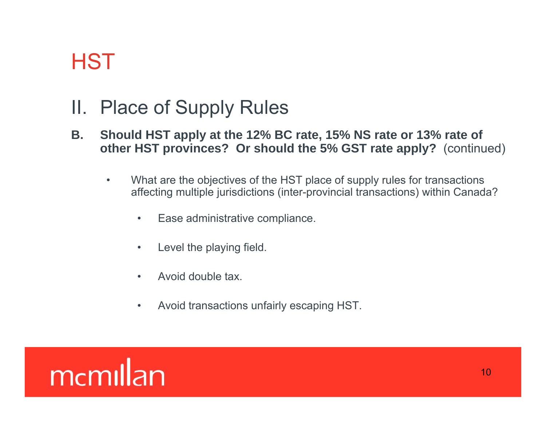- II. Place of Supply Rules
- B. Should HST apply at the 12% BC rate, 15% NS rate or 13% rate of **other HST provinces? Or should the 5% GST rate apply?** (continued)
	- •What are the objectives of the HST place of supply rules for transactions affecting multiple jurisdictions (inter-provincial transactions) within Canada?
		- $\bullet$ Ease administrative compliance.
		- •Level the playing field.
		- $\bullet$ Avoid double tax.
		- $\bullet$ Avoid transactions unfairly escaping HST.

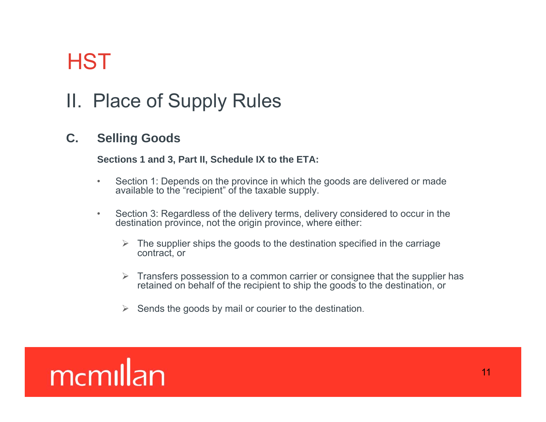## II. Place of Supply Rules

### **C. Selling Goods**

#### **Sections 1 and 3, Part II, Schedule IX to the ETA:**

- $\bullet$ Section 1: Depends on the province in which the goods are delivered or made available to the "recipient" of the taxable supply.
- $\bullet$  Section 3: Regardless of the delivery terms, delivery considered to occur in the destination province, not the origin province, where either:
	- $\triangleright$  The supplier ships the goods to the destination specified in the carriage contract, or
	- $\triangleright$  Transfers possession to a common carrier or consignee that the supplier has retained on behalf of the recipient to ship the goods to the destination, or
	- $\blacktriangleright$ Sends the goods by mail or courier to the destination.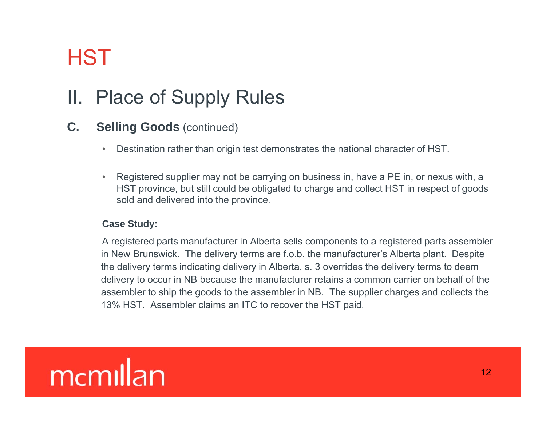## II. Place of Supply Rules

### **C. Selling Goods** (continued)

- $\bullet$ Destination rather than origin test demonstrates the national character of HST.
- • Registered supplier may not be carrying on business in, have a PE in, or nexus with, a HST province, but still could be obligated to charge and collect HST in respect of goods sold and delivered into the province.

#### **Case Study:**

A registered parts manufacturer in Alberta sells components to a registered parts assembler in New Brunswick. The delivery terms are f.o.b. the manufacturer's Alberta plant. Despite the delivery terms indicating delivery in Alberta, s. 3 overrides the delivery terms to deem delivery to occur in NB because the manufacturer retains a common carrier on behalf of the assembler to ship the goods to the assembler in NB. The supplier charges and collects the 13% HST. Assembler claims an ITC to recover the HST paid.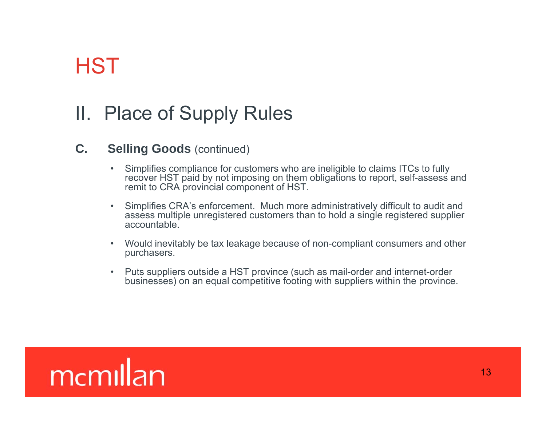### II. Place of Supply Rules

### **C. Selling Goods** (continued)

- Simplifies compliance for customers who are ineligible to claims ITCs to fully recover HST paid by not imposing on them obligations to report, self-assess and remit to CRA provincial component of HST.
- Simplifies CRA's enforcement. Much more administratively difficult to audit and assess multiple unregistered customers than to hold a single registered supplier accountable.
- Would inevitably be tax leakage because of non-compliant consumers and other purchasers.
- • Puts suppliers outside a HST province (such as mail-order and internet-order businesses) on an equal competitive footing with suppliers within the province.

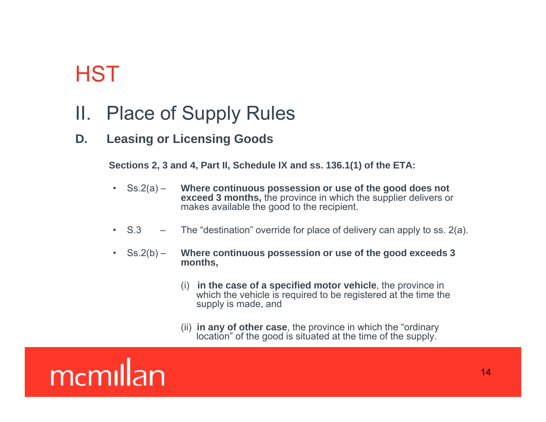- II. Place of Supply Rules
- **D. Leasing or Licensing Goods**

**Sections 2, 3 and 4, Part II, Schedule IX and ss. 136.1(1) of the ETA:**

- $\text{Ss.2(a)}$  **Where continuous possession or use of the good does not exceed 3 months,** the province in which the supplier delivers or makes available the good to the recipient.
- •S.3 – The "destination" override for place of delivery can apply to ss. 2(a).
- $\text{Ss.2(b)}$  **Where continuous possession or use of the good exceeds 3 months,**
	- (i) **in the case of a specified motor vehicle**, the province in which the vehicle is required to be registered at the time the supply is made, and
	- (ii) **in any of other case**, the province in which the "ordinary location" of the good is situated at the time of the supply.

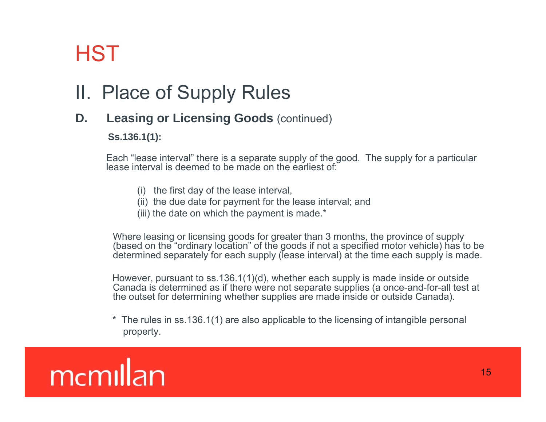## II. Place of Supply Rules

### **D. Leasing or Licensing Goods** (continued)

**Ss.136.1(1):**

Each "lease interval" there is a separate supply of the good. The supply for a particular lease interval is deemed to be made on the earliest of:

- (i) the first day of the lease interval,
- (ii) the due date for payment for the lease interval; and
- (iii) the date on which the payment is made.\*

Where leasing or licensing goods for greater than 3 months, the province of supply (based on the "ordinary location" of the goods if not a specified motor vehicle) has to be determined separately for each supply (lease interval) at the time each supply is made.

However, pursuant to ss.136.1(1)(d), whether each supply is made inside or outside Canada is determined as if there were not separate supplies (a once-and-for-all test at the outset for determining whether supplies are made inside or outside Canada).

\* The rules in ss.136.1(1) are also applicable to the licensing of intangible personal property.

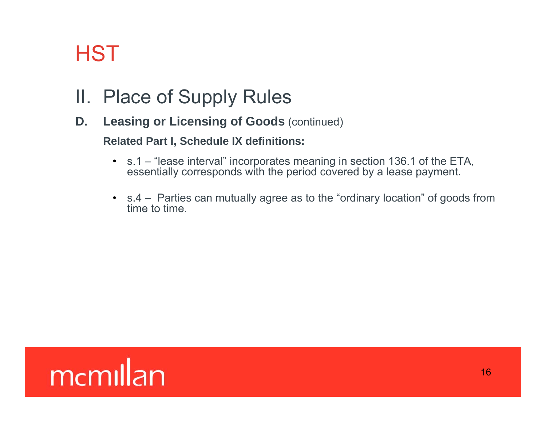### II. Place of Supply Rules

**D.** Leasing or Licensing of Goods (continued)

#### **Related Part I, Schedule IX definitions:**

- s.1 "lease interval" incorporates meaning in section 136.1 of the ETA, essentially corresponds with the period covered by a lease payment.
- s.4 Parties can mutually agree as to the "ordinary location" of goods from time to time.

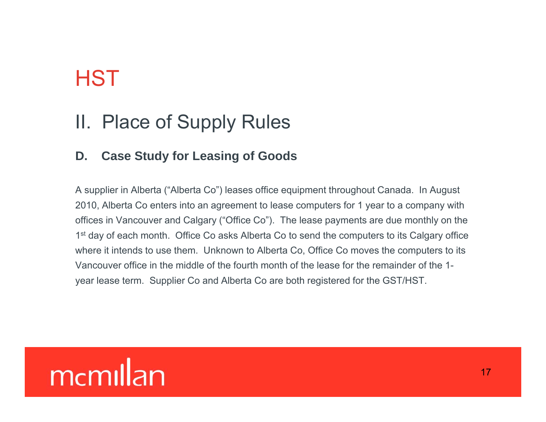### II. Place of Supply Rules

### **D. Case Study for Leasing of Goods**

A supplier in Alberta ("Alberta Co") leases office equipment throughout Canada. In August 2010, Alberta Co enters into an agreement to lease computers for 1 year to a company with offices in Vancouver and Calgary ("Office Co"). The lease payments are due monthly on the 1<sup>st</sup> day of each month. Office Co asks Alberta Co to send the computers to its Calgary office where it intends to use them. Unknown to Alberta Co, Office Co moves the computers to its Vancouver office in the middle of the fourth month of the lease for the remainder of the 1year lease term. Supplier Co and Alberta Co are both registered for the GST/HST.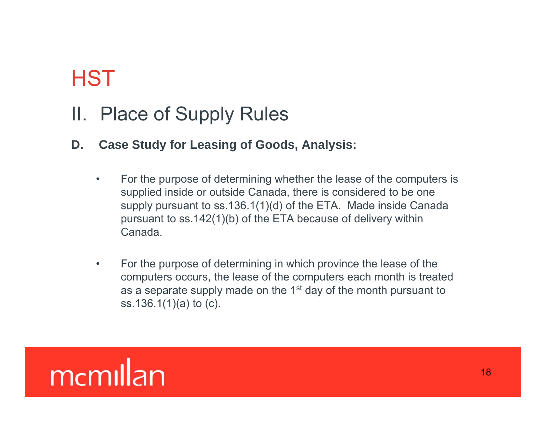### II. Place of Supply Rules

- **D. Case Study for Leasing of Goods, Analysis:**
	- •For the purpose of determining whether the lease of the computers is supplied inside or outside Canada, there is considered to be one supply pursuant to ss.136.1(1)(d) of the ETA. Made inside Canada pursuant to ss.142(1)(b) of the ETA because of delivery within Canada.
	- • For the purpose of determining in which province the lease of the computers occurs, the lease of the computers each month is treated as a separate supply made on the  $1<sup>st</sup>$  day of the month pursuant to ss.136.1(1)(a) to (c).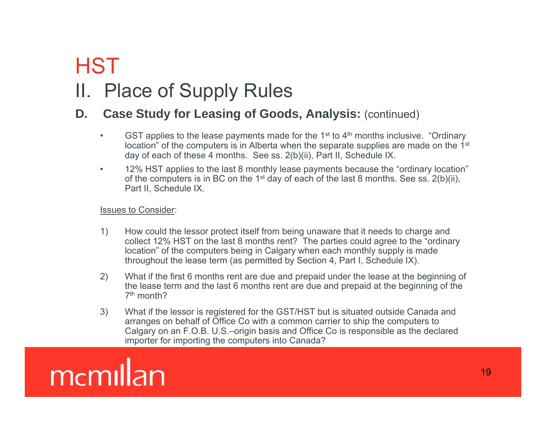## II. Place of Supply Rules

### **D. Case Study for Leasing of Goods, Analysis:** (continued)

- •GST applies to the lease payments made for the  $1<sup>st</sup>$  to  $4<sup>th</sup>$  months inclusive. "Ordinary location" of the computers is in Alberta when the separate supplies are made on the 1<sup>st</sup> day of each of these 4 months. See ss. 2(b)(ii), Part II, Schedule IX.
- • 12% HST applies to the last 8 monthly lease payments because the "ordinary location" of the computers is in BC on the 1st day of each of the last 8 months. See ss. 2(b)(ii), Part II, Schedule IX.

Issues to Consider:

- 1) How could the lessor protect itself from being unaware that it needs to charge and collect 12% HST on the last 8 months rent? The parties could agree to the "ordinary location" of the computers being in Calgary when each monthly supply is made throughout the lease term (as permitted by Section 4, Part I, Schedule IX).
- 2) What if the first 6 months rent are due and prepaid under the lease at the beginning of the lease term and the last 6 months rent are due and prepaid at the beginning of the 7th month?
- 3) What if the lessor is registered for the GST/HST but is situated outside Canada and arranges on behalf of Office Co with a common carrier to ship the computers to Calgary on an F.O.B. U.S.–origin basis and Office Co is responsible as the declared importer for importing the computers into Canada?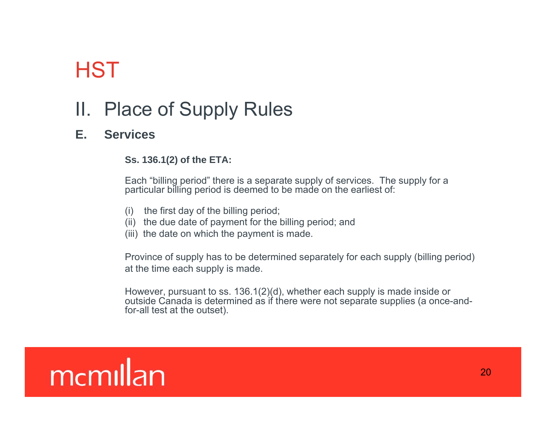## II. Place of Supply Rules

#### **E.S i erv ces**

#### **Ss. 136.1(2) of the ETA:**

Each "billing period" there is a separate supply of services. The supply for a particular billing period is deemed to be made on the earliest of:

- (i) the first day of the billing period;
- (ii) the due date of payment for the billing period; and
- (iii) the date on which the payment is made.

Province of supply has to be determined separately for each supply (billing period) at the time each supply is made.

However, pursuant to ss. 136.1(2)(d), whether each supply is made inside or outside Canada is determined as if there were not separate supplies (a once-andfor-all test at the outset).

## memillan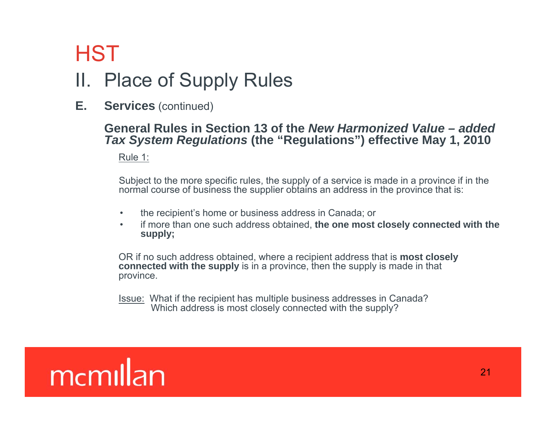## HSTII. Place of Supply Rules

**E. Services** (continued)

#### **General Rules in Section 13 of the Rules** *New Harmonized Value – added Tax System Regulations* **(the "Regulations") effective May 1, 2010**

Rule 1:

Subject to the more specific rules, the supply of a service is made in a province if in the normal course of business the supplier obtains an address in the province that is:

- •the recipient's home or business address in Canada; or
- • if more than one such address obtained, **the one most closely connected with the supp y; l**

OR if no such address obtained, where a recipient address that is **most closely connected with the supply** is in a province, then the supply is made in that province.

<u>Issue:</u> What if the recipient has multiple business addresses in Canada? Which address is most closely connected with the supply?

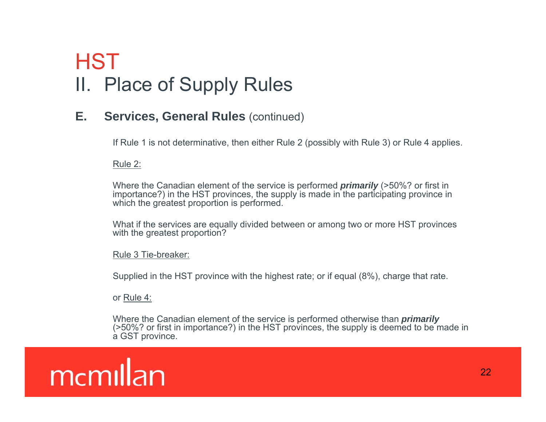## **HST** II. Place of Supply Rules

### **E.** Services, General Rules (continued)

If Rule 1 is not determinative, then either Rule 2 (possibly with Rule 3) or Rule 4 applies.

Rule 2:

Where the Canadian element of the service is performed *primarily* (>50%? or first in importance?) in the HST provinces, the supply is made in the participating province in which the greatest proportion is performed.

What if the services are equally divided between or among two or more HST provinces with the greatest proportion?

#### Rule 3 Tie-breaker:

Supplied in the HST province with the highest rate; or if equal (8%), charge that rate.

or Rule 4:

Where the Canadian element of the service is performed otherwise than *primarily* (>50%? or first in importance?) in the HST provinces, the supply is deemed to be made in a GST province.

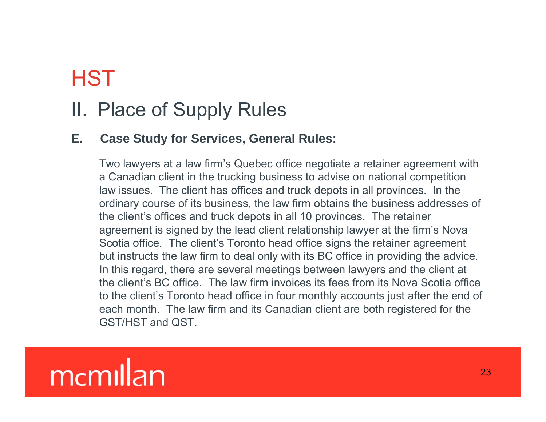### II. Place of Supply Rules

### **E. Case Study for Services, General Rules:**

Two lawyers at a law firm's Quebec office negotiate a retainer agreement with a Canadian client in the trucking business to advise on national competition law issues. The client has offices and truck depots in all provinces. In the ordinary course of its business, the law firm obtains the business addresses of the client's offices and truck depots in all 10 provinces. The retainer agreement is signed by the lead client relationship lawyer at the firm's Nova Scotia office. The client's Toronto head office signs the retainer agreement but instructs the law firm to deal only with its BC office in providing the advice. In this regard, there are several meetings between lawyers and the client at the client's BC office. The law firm invoices its fees from its Nova Scotia office to the client's Toronto head office in four monthly accounts just after the end of each month. The law firm and its Canadian client are both registered for the GST/HST and QST.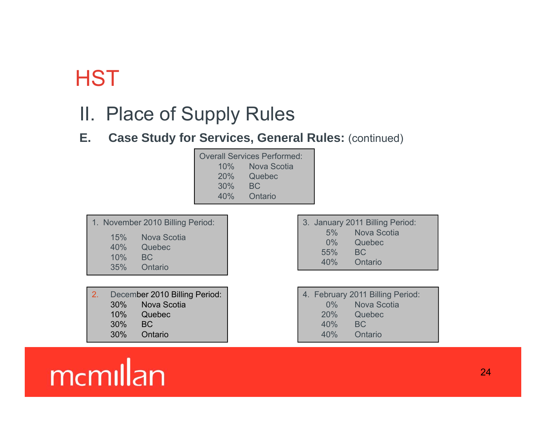### II. Place of Supply Rules

**E. Case Study for Services, General Rules:** (continued)

| <b>Overall Services Performed:</b> |             |  |
|------------------------------------|-------------|--|
| 10%                                | Nova Scotia |  |
| 20%                                | Quebec      |  |
| 30%                                | BC.         |  |
| 40%                                | Ontario     |  |

|     | 1. November 2010 Billing Period: |
|-----|----------------------------------|
| 15% | Nova Scotia                      |
| 40% | Quebec                           |
| 10% | BC.                              |
| 35% | Ontario                          |

2. December 2010 Billing Period: 30% Nova Scotia 10% Quebec 30% BC30% Ontario

|       | 3. January 2011 Billing Period: |
|-------|---------------------------------|
| $5\%$ | Nova Scotia                     |
| $0\%$ | Quebec                          |
| 55%   | BC.                             |
| 40%   | Ontario                         |

|       | 4. February 2011 Billing Period: |
|-------|----------------------------------|
| $0\%$ | <b>Nova Scotia</b>               |
| 20%   | Quebec                           |
| 40%   | BC.                              |
| 40%   | Ontario                          |

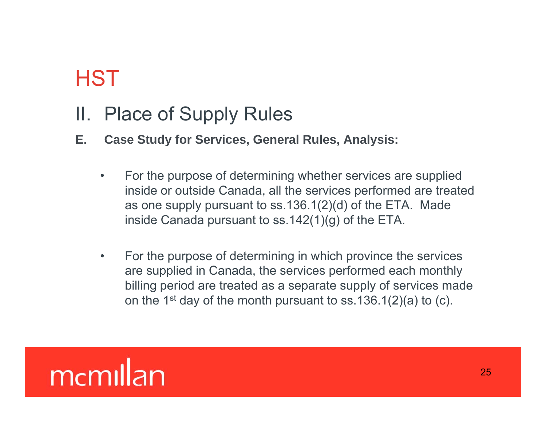### II. Place of Supply Rules

- **E. Case Study for Services, General Rules, Analysis:**
	- $\bullet$  For the purpose of determining whether services are supplied inside or outside Canada, all the services performed are treated as one supply pursuant to ss.136.1(2)(d) of the ETA. Made inside Canada pursuant to ss.142(1)(g) of the ETA.
	- $\bullet$  For the purpose of determining in which province the services are supplied in Canada, the services performed each monthly billing period are treated as a separate supply of services made on the 1<sup>st</sup> day of the month pursuant to ss.136.1(2)(a) to (c).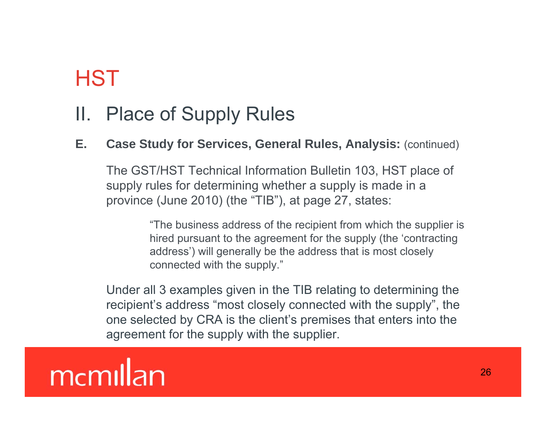### II. Place of Supply Rules

### **E. Case Study for Services, General Rules, Analysis:** (continued)

The GST/HST Technical Information Bulletin 103, HST place of supply rules for determining whether <sup>a</sup> supply is made in <sup>a</sup> province (June 2010) (the "TIB"), at page 27, states:

> "The business address of the recipient from which the supplier is hired pursuant to the agreement for the supply (the 'contracting address') will generally be the address that is most closely connected with the supply."

Under all 3 examples given in the TIB relating to determining the recipient's address "most closely connected with the supply", the one selected by CRA is the client's premises that enters into the agreement for the supply with the supplier.

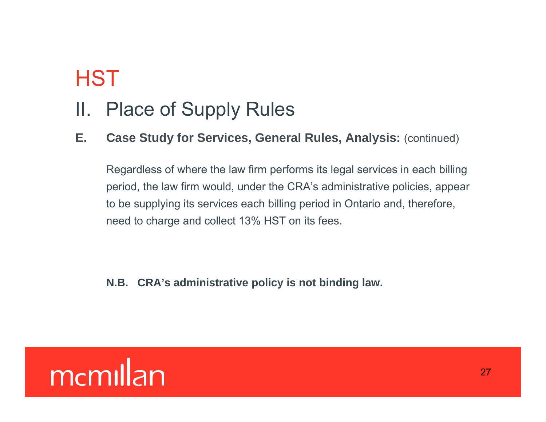### II. Place of Supply Rules

### **E. Case Study for Services, General Rules, Analysis:** (continued)

Regardless of where the law firm performs its legal services in each billing period, the law firm would, under the CRA's administrative policies, appear to be supplying its services each billing period in Ontario and, therefore, need to charge and collect 13% HST on its fees.

**N.B. CRA's administrative policy is not binding law.**

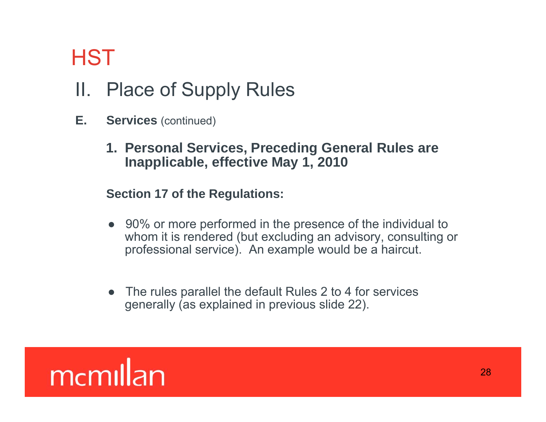## II. Place of Supply Rules

- **E.** Services (continued)
	- **1. Personal Services, Preceding General Rules are Inapplicable, effective May 1, 2010**

### **Section 17 of the Regulations:**

- 90% or more performed in the presence of the individual to whom it is rendered (but excluding an advisory, consulting or professional service). An example would be a haircut.
- The rules parallel the default Rules 2 to 4 for services generally (as explained in previous slide 22).

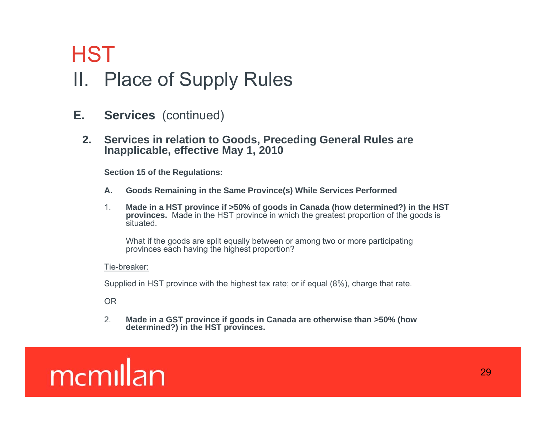## **HST** II. Place of Supply Rules

- **E. Services** (continued)
	- **2. Services in relation to Goods, Preceding General Rules are Inapplicable, effective May 1, 2010**

**Section 15 of the Regulations:**

- **A. Goods Remaining in the Same Province(s) While Services Performed**
- 1. **Made in a HST province if >50% of goods in Canada (how determined?) in the HST provinces.** Made in the HST province in which the greatest proportion of the goods is situated.

What if the goods are split equally between or among two or more participating provinces each having the highest proportion?

#### Tie-breaker:

Supplied in HST province with the highest tax rate; or if equal (8%), charge that rate.

OR

2. **Made in a GST province if goods in Canada are otherwise than >50% (how determined?) in the HST provinces.**

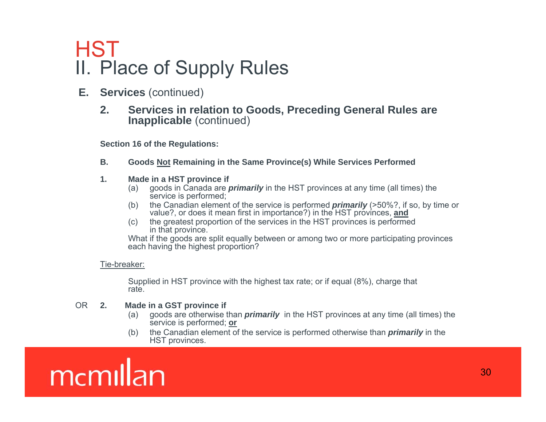### HSTII. Place of Supply Rules

- **E. Services** (continued)
	- **2. Services in relation to Goods, Preceding General Rules are Inapplicable** (continued)

**Section 16 of the Regulations:**

- **B. Goods Not Remaining in the Same Province(s) While Services Performed**
- **1. Made in a HST province if**
	- (a) goods in Canada are *primarily* in the HST provinces at any time (all times) the service is performed;
	- (b) the Canadian element of the service is performed *primarily* (>50%?, if so, by time or value?, or does it mean first in importance?) in the HST provinces, **and**
	- (c) the greatest proportion of the services in the HST provinces is performed in that province.

What if the goods are split equally between or among two or more participating provinces each having the highest proportion?

#### Tie-breaker:

Supplied in HST province with the highest tax rate; or if equal (8%), charge that rate.

#### OR **2. Made in a GST province if**

- (a) goods are otherwise than *primarily* in the HST provinces at any time (all times) the service is performed; **or**
- (b) the Canadian element of the service is performed otherwise than *primarily* in the HST provinces.

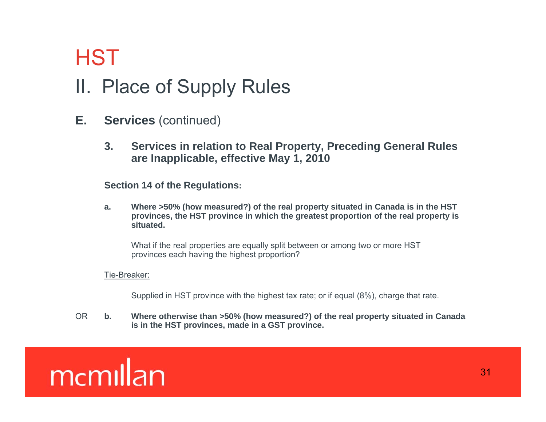### II. Place of Supply Rules

- **E. Services** (continued)
	- **3. Services in relation to Real Property, Preceding General Rules are Inapplicable, effective May 1, 2010**

**Section 14 of the Regulations 14 Regulations:**

**a. Where >50% (how measured?) of the real property situated in Canada is in the HST provinces, the HST province in which the greatest proportion of the real property is situated.**

What if the real properties are equally split between or among two or more HST provinces each having the highest proportion?

#### Tie-Breaker:

Supplied in HST province with the highest tax rate; or if equal (8%), charge that rate.

OR **b. Where otherwise than >50% (how measured?) of the real property situated in Canada is in the HST provinces, made in a GST province.**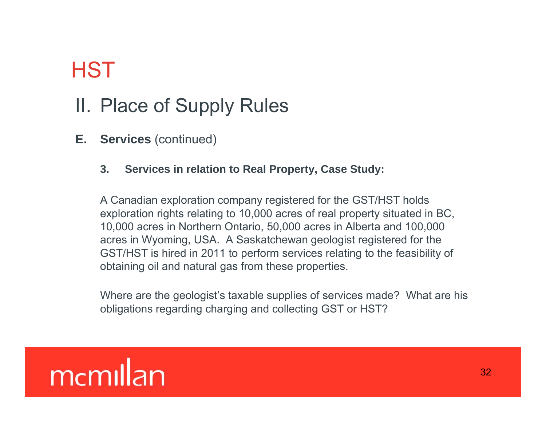## II. Place of Supply Rules

**E. Services** (continued)

### **3. Services in relation to Real Property, Case Study:**

A Canadian exploration company registered for the GST/HST holds exploration rights relating to 10,000 acres of real property situated in BC, 10,000 acres in Northern Ontario, 50,000 acres in Alberta and 100,000 acres in Wyoming, USA. A Saskatchewan geologist registered for the GST/HST is hired in 2011 to perform services relating to the feasibility of obtaining oil and natural gas from these properties.

Where are the geologist's taxable supplies of services made? What are his obligations regarding charging and collecting GST or HST?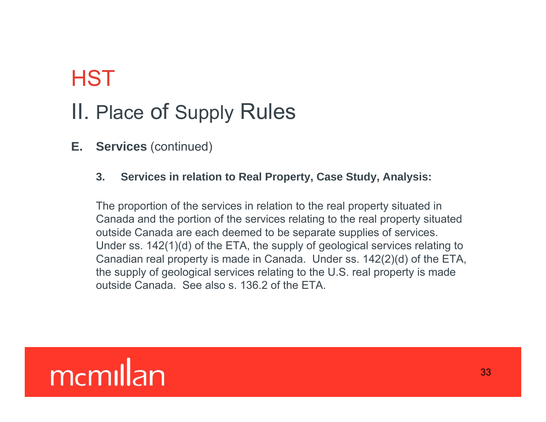## **HST** II. Place of Supply Rules

### **E. Services** (continued)

#### **3. Services in relation to Real Property, Case Study, Analysis:**

The proportion of the services in relation to the real property situated in Canada and the portion of the services relating to the real property situated outside Canada are each deemed to be separate supplies of services. Under ss. 142(1)(d) of the ETA, the supply of geological services relating to Canadian real property is made in Canada. Under ss. 142(2)(d) of the ETA, the supply of geological services relating to the U.S. real property is made outside Canada. See also s. 136.2 of the ETA.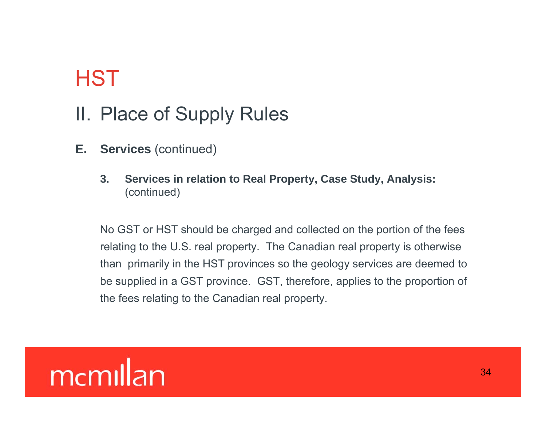### II. Place of Supply Rules

- **E. Services** (continued)
	- **3.** Services in relation to Real Property, Case Study, Analysis: (continued)

No GST or HST should be charged and collected on the portion of the fees relating to the U.S. real property. The Canadian real property is otherwise than primarily in the HST provinces so the geology services are deemed to be supplied in a GST province. GST, therefore, applies to the proportion of the fees relating to the Canadian real property.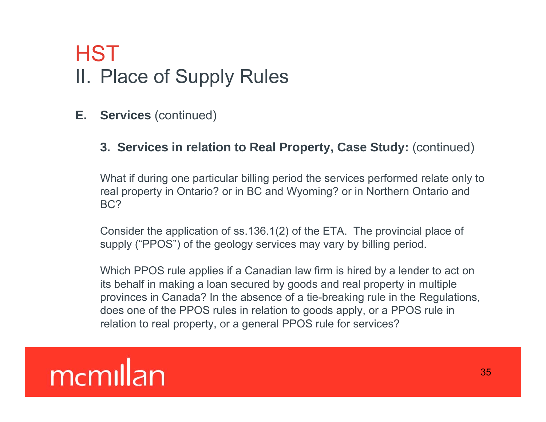## II. Place of Supply Rules **HST**

**E. Services** (continued)

### **3. Services in relation to Real Property, Case Study:** (continued)

What if during one particular billing period the services performed relate only to real property in Ontario? or in BC and Wyoming? or in Northern Ontario and BC?

Consider the application of ss.136.1(2) of the ETA. The provincial place of supply ("PPOS") of the geology services may vary by billing period.

Which PPOS rule applies if a Canadian law firm is hired by a lender to act on its behalf in making a loan secured by goods and real property in multiple provinces in Canada? In the absence of a tie-breaking rule in the Regulations, does one of the PPOS rules in relation to goods apply, or a PPOS rule in relation to real property, or a general PPOS rule for services?

## memillan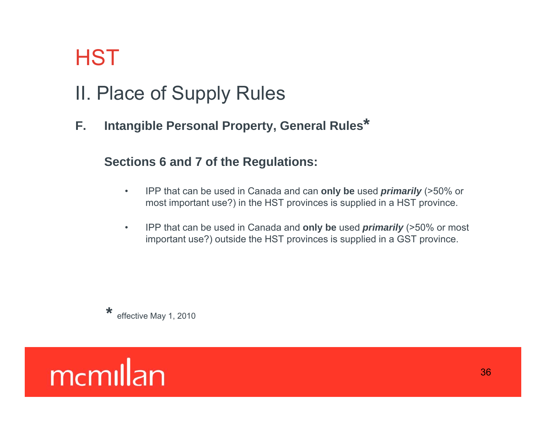## II. Place of Supply Rules

**F. Intang <sup>p</sup> y, ible Personal Property, General Rules\***

### **Sections 6 and 7 of the Regulations:**

- $\bullet$  IPP that can be used in Canada and can **only be** used *primarily* (>50% or most important use?) in the HST provinces is supplied in a HST province.
- • IPP that can be used in Canada and **only be** used *primarily* (>50% or most important use?) outside the HST provinces is supplied in a GST province.

**\*** effective May 1, 2010

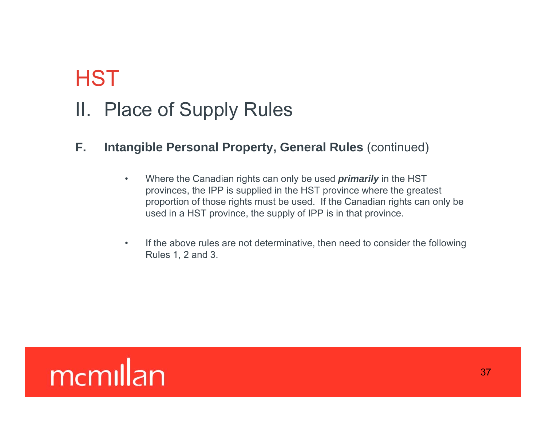## II. Place of Supply Rules

### **F. Intangible Personal Property, General Rules** (continued)

- $\bullet$  Where the Canadian rights can only be used *primarily* in the HST provinces, the IPP is supplied in the HST province where the greatest proportion of those rights must be used. If the Canadian rights can only be used in a HST province, the supply of IPP is in that province.
- $\bullet$  If the above rules are not determinative, then need to consider the following Rules 1, 2 and 3.

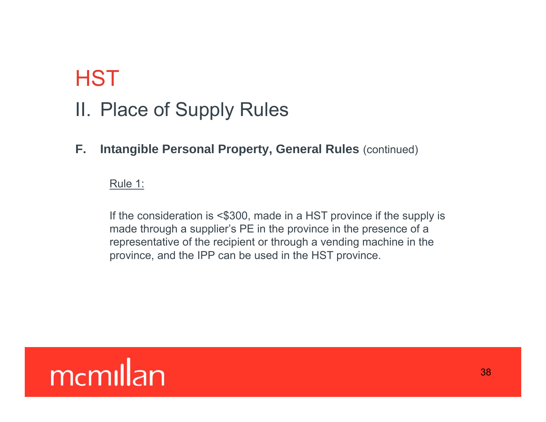## II. Place of Supply Rules

**F. Intangible Personal Property, General Rules** (continued)

Rule 1:

If the consideration is <\$300, made in a HST province if the supply is made through a supplier's PE in the province in the presence of a representative of the recipient or through a vending machine in the province, and the IPP can be used in the HST province.

## memillan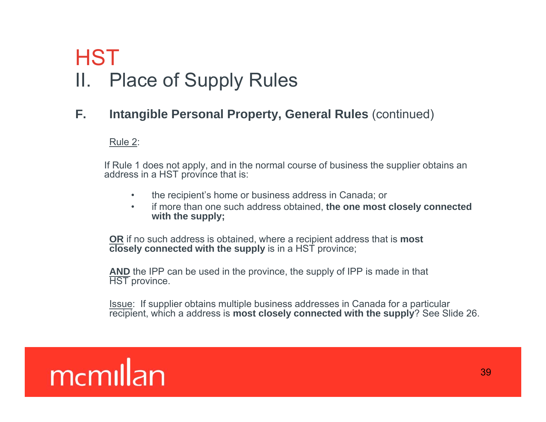## II. Place of Supply Rules HST

### **F. Intangible Personal Property, General Rules** (continued)

Rule 2:

If Rule 1 does not apply, and in the normal course of business the supplier obtains an address in a HST province that is:

- $\bullet$ the recipient's home or business address in Canada; or
- • if more than one such address obtained, **the one most closely connected with the supply;**

**OR** if no such address is obtained, where a recipient address that is **most closely connected with the supply** is in a HST province;

**AND** the IPP can be used in the province, the supply of IPP is made in that HST province.

Issue: If supplier obtains multiple business addresses in Canada for a particular recipient, which a address is **most closely connected with the supply**? See Slide 26.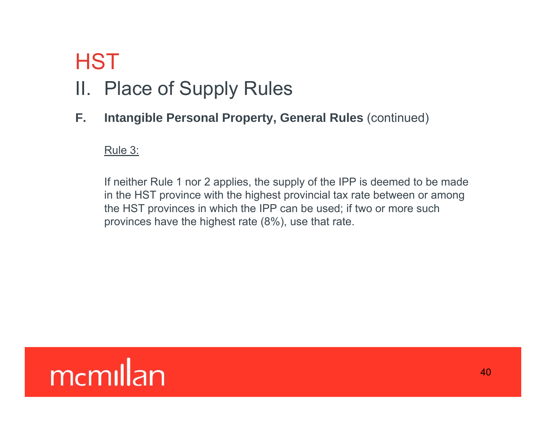## **HST** II. Place of Supply Rules

**F. Intangible Personal Property, General Rules** (continued)

Rule 3:

If neither Rule 1 nor 2 applies, the supply of the IPP is deemed to be made in the HST province with the highest provincial tax rate between or among the HST provinces in which the IPP can be used; if two or more such provinces have the highest rate (8%), use that rate.

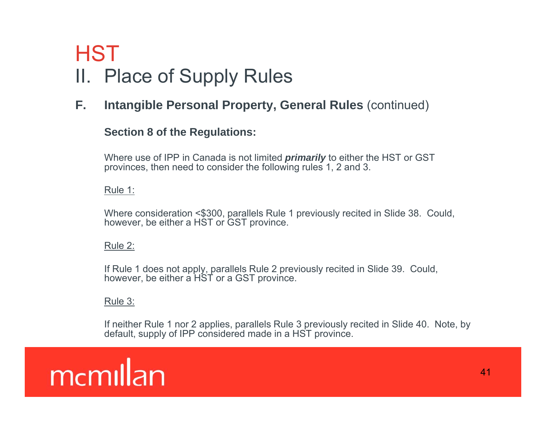## II. Place of Supply Rules **HST**

**F. Intangible Personal Property, General Rules** (continued)

#### **Section 8 of the Regulations:**

Where use of IPP in Canada is not limited *primarily* to either the HST or GST provinces, then need to consider the following rules 1, 2 and 3.

#### Rule 1:

Where consideration <\$300, parallels Rule 1 previously recited in Slide 38. Could, however, be either a HST or GST province.

#### Rule 2:

If Rule 1 does not apply, parallels Rule 2 previously recited in Slide 39. Could, however, be either a HST or a GST province.

#### Rule 3:

If neither Rule 1 nor 2 applies, parallels Rule 3 previously recited in Slide 40. Note, by default, supply of IPP considered made in a HST province.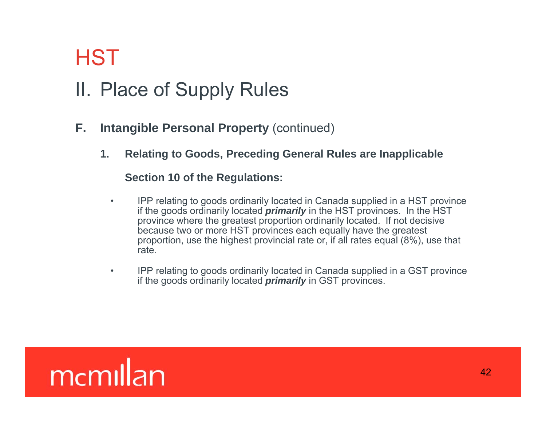## II. Place of Supply Rules

- **F. Intangible Personal Property** (continued)
	- **1. Relating to Goods, Preceding General Rules are Inapplicable**

#### **Section 10 of the Regulations:**

- $\bullet$  IPP relating to goods ordinarily located in Canada supplied in a HST province if the goods ordinarily located *primarily* in the HST provinces. In the HST province where the greatest proportion ordinarily located. If not decisive because two or more HST provinces each equally have the greatest proportion, use the highest provincial rate or, if all rates equal (8%), use that rate.
- $\bullet$  IPP relating to goods ordinarily located in Canada supplied in a GST province if the goods ordinarily located *primarily* in GST provinces.

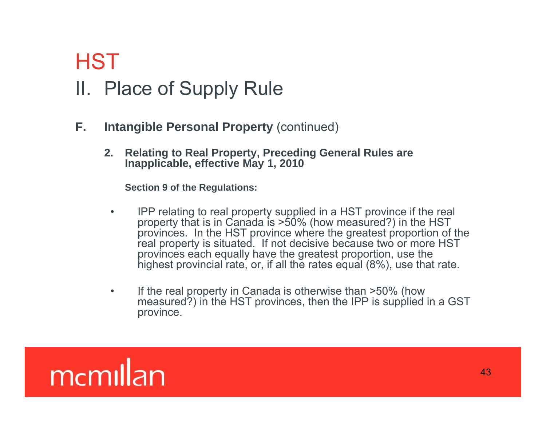## **HST** II. Place of Supply Rule

- **F. Intangible Personal Property** (continued)
	- **2. Relating to Real Property, Preceding General Rules are Inapplicable, effective May 1, 2010**

**S i 9 fh R l i Section 9 of the Regulations:**

- • IPP relating to real property supplied in a HST province if the real property that is in Canada is >50% (how measured?) in the HST provinces. In the HST province where the greatest proportion of the real property is situated. If not decisive because two or more HST provinces each equally have the greatest proportion, use the highest provincial rate, or, if all the rates equal (8%), use that rate.
- • If the real property in Canada is otherwise than >50% (how measured?) in the HST provinces, then the IPP is supplied in a GST province.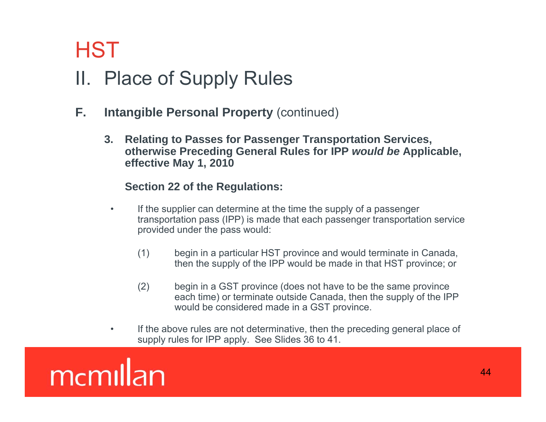## II. Place of Supply Rules **HST**

- **F.** Intangible Personal Property (continued)
	- **3. Relating to Passes for Passenger Transportation Services, otherwise Preceding General Rules for IPP** *would be* **Applicable, effective May 1, 2010**

#### **S ti 22 f th R l ti Section 22 of the Regulations:**

- $\bullet$  If the supplier can determine at the time the supply of a passenger transportation pass (IPP) is made that each passenger transportation service provided under the pass would:
	- (1) begin in a particular HST province and would terminate in Canada, then the supply of the IPP would be made in that HST province; or
	- $(2)$  begin in a GST province (does not have to be the same province each time) or terminate outside Canada, then the supply of the IPP would be considered made in a GST province.
- • If the above rules are not determinative, then the preceding general place of supply rules for IPP apply. See Slides 36 to 41.

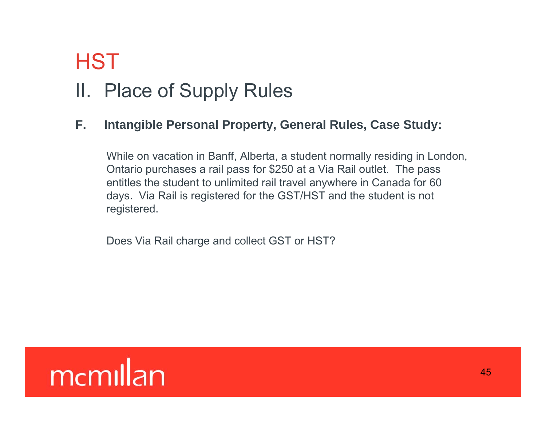## II. Place of Supply Rules

### **F. Intang py y ible Personal Property, General Rules, Case Study:**

While on vacation in Banff, Alberta, a student normally residing in London, Ontario purchases a rail pass for \$250 at a Via Rail outlet. The pass entitles the student to unlimited rail travel anywhere in Canada for 60 days. Via Rail is registered for the GST/HST and the student is not registered.

Does Via Rail charge and collect GST or HST?

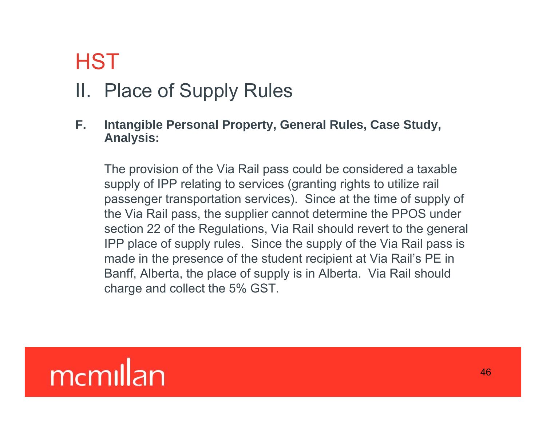## II. Place of Supply Rules

**F. Intang py y ible Personal Property, General Rules, Case Study, Analysis:**

The provision of the Via Rail pass could be considered a taxable supply of IPP relating to services (granting rights to utilize rail passenger transportation services). Since at the time of supply of the Via Rail pass, the supplier cannot determine the PPOS under section 22 of the Regulations, Via Rail should revert to the general IPP place of supply rules. Since the supply of the Via Rail pass is made in the presence of the student recipient at Via Rail's PE in Banff, Alberta, the place of supply is in Alberta. Via Rail should charge and collect the 5% GST.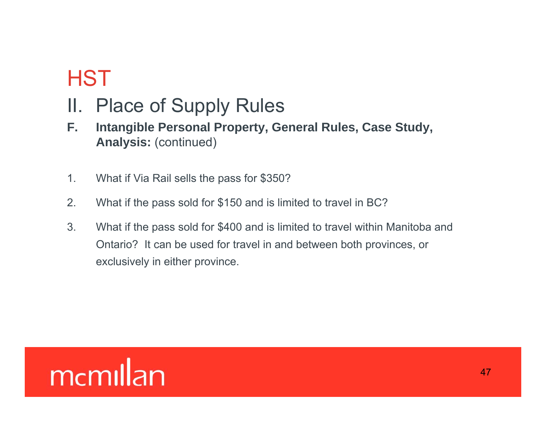- II. Place of Supply Rules
- **F. Intangible Personal Property, General Rules, Case Study, Analysis:** (continued)
- 1. What if Via Rail sells the pass for \$350?
- 2. What if the pass sold for \$150 and is limited to travel in BC?
- 3. What if the pass sold for \$400 and is limited to travel within Manitoba and Ontario? It can be used for travel in and between both provinces, or exclusively in either province.

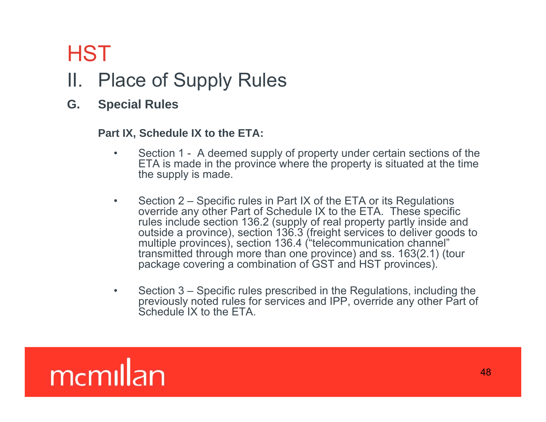### II. Place of Supply Rules

**G. Special Rules**

#### Part IX, Schedule IX to the ETA:

- • Section 1 - A deemed supply of property under certain sections of the ETA is made in the province where the property is situated at the time the supply is made.
- • Section 2 – Specific rules in Part IX of the ETA or its Regulations override any other Part of Schedule IX to the ETA. These specific rules include section 136.2 (supply of real property partly inside and outside a province), section 136.3 (freight services to deliver goods to multiple provinces), section 136.4 ("telecommunication channel" transmitted through more than one province) and ss. 163(2.1) (tour package covering a combination of GST and HST provinces).
- •• Section 3 – Specific rules prescribed in the Regulations, including the previously noted rules for services and IPP, override any other Part of Schedule IX to the FTA.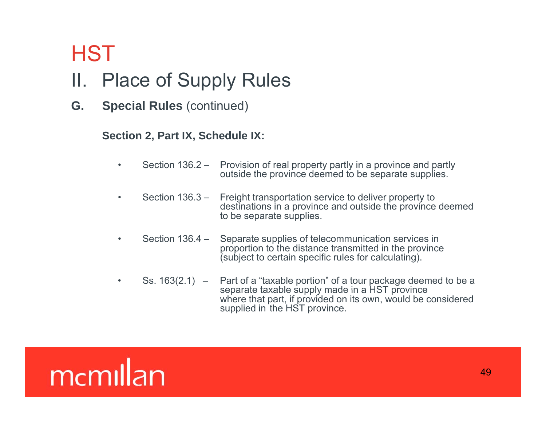### II. Place of Supply Rules

**G. Special Rules** (continued)

#### **Section 2, Part IX, Schedule IX:**

- $\bullet$  Section 136.2 – Provision of real property partly in a province and partly outside the province deemed to be separate supplies.
- • Section 136.3 – Freight transportation service to deliver property to destinations in a province and outside the province deemed to be separate supplies.
- $\bullet$ Section  $136.4 -$ Separate supplies of telecommunication services in proportion to the distance transmitted in the province (subject to certain specific rules for calculating).
- • Ss. 163(2.1) – Part of a "taxable portion" of a tour package deemed to be a separate taxable supply made in a HST province where that part, if provided on its own, would be considered supplied in the HST province.

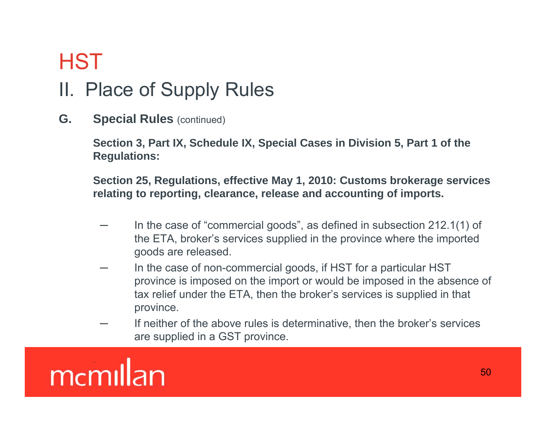## II. Place of Supply Rules

**G.** Special Rules (continued)

**Section 3, Part IX, Schedule IX, Special Cases in Division 5, Part 1 of the Regulations:** 

Section 25, Regulations, effective May 1, 2010: Customs brokerage services **relating to reporting, clearance, release and accounting of imports.**

- In the case of "commercial goods", as defined in subsection 212.1(1) of the ETA, broker's services supplied in the province where the imported goods are released.
- In the case of non-commercial goods, if HST for a particular HST province is imposed on the import or would be imposed in the absence of tax relief under the ETA, then the broker's services is supplied in that province.
- If neither of the above rules is determinative, then the broker's services are supplied in a GST province.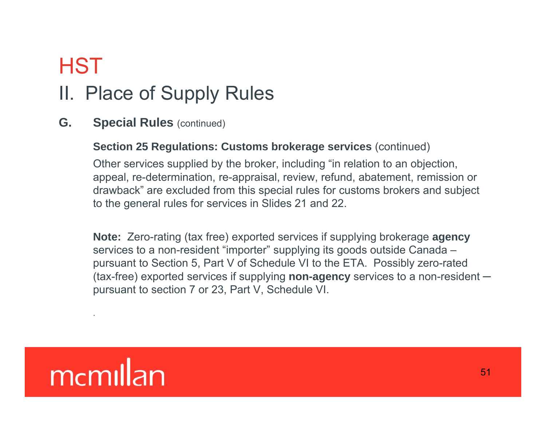## II. Place of Supply Rules

**G.** Special Rules (continued)

### **Section 25 Regulations: Customs brokerage services (continued)**

Other services supplied by the broker, including "in relation to an objection, appeal, re-determination, re-appraisal, review, refund, abatement, remission or drawback" are excluded from this special rules for customs brokers and subject to the general rules for services in Slides 21 and 22.

**Note:** Zero-rating (tax free) exported services if supplying brokerage **agency** services to a non-resident "importer" supplying its goods outside Canada – pursuant to Section 5, Part V of Schedule VI to the ETA. Possibly zero-rated (tax-free) exported services if supplying **non-agency** services to a non-resident ─ pursuant to section 7 or 23, Part V, Schedule VI.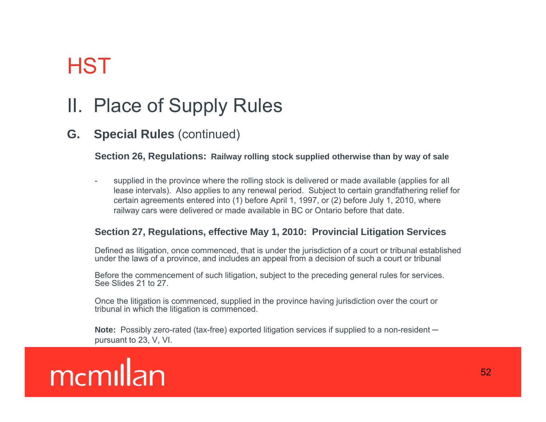### II. Place of Supply Rules

### **G.** Special Rules (continued)

#### **Section 26, Regulations: Railway rolling stock supplied otherwise than by way of sale**

supplied in the province where the rolling stock is delivered or made available (applies for all lease intervals). Also applies to any renewal period. Subject to certain grandfathering relief for certain agreements entered into (1) before April 1, 1997, or (2) before July 1, 2010, where railway cars were delivered or made available in BC or Ontario before that date.

#### **Section 27, Regulations, effective May 1, 2010: Provincial Litigation Services**

Defined as litigation, once commenced, that is under the jurisdiction of a court or tribunal established under the laws of a province, and includes an appeal from a decision of such a court or tribunal

Before the commencement of such litigation, subject to the preceding general rules for services. See Slides 21 to 27.

Once the litigation is commenced, supplied in the province having jurisdiction over the court or tribunal in which the litigation is commenced.

**Note:** Possibly zero-rated (tax-free) exported litigation services if supplied to a non-resident ─ pursuant to 23, V, VI.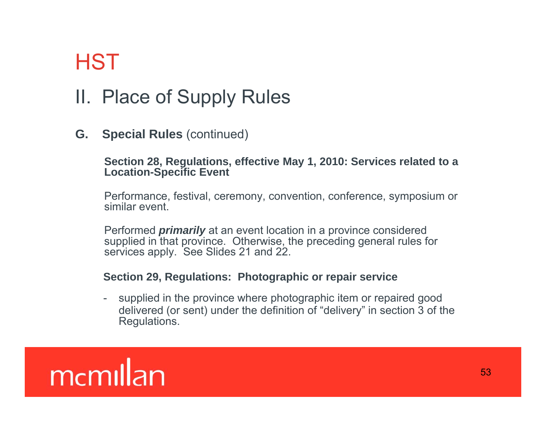## II. Place of Supply Rules

**G.** Special Rules (continued)

#### **Section 28, Regulations, effective May 1, 2010: Services related to a Location-Specific Event**

Performance, festival, ceremony, convention, conference, symposium or similar event.

Performed *primarily* at an event location in a province considered supplied in that province. Otherwise, the preceding general rules for services apply. See Slides 21 and 22.

#### **Section 29, Regulations: Photographic or repair service**

- supplied in the province where photographic item or repaired good delivered (or sent) under the definition of "delivery" in section 3 of the Regulations.

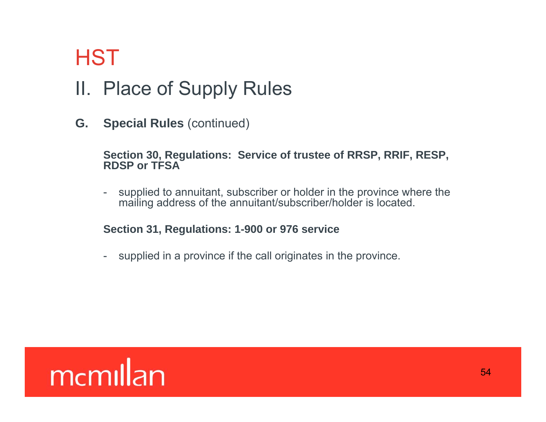### II. Place of Supply Rules

**G. Special Rules** (continued)

#### **Section 30, Regulations: Service of trustee of RRSP, RRIF, RESP, RDSP or TFSA**

 supplied to annuitant, subscriber or holder in the province where the mailing address of the annuitant/subscriber/holder is located.

#### **Section 31, Regulations: 1-900 or 976 service**

- supplied in a province if the call originates in the province.

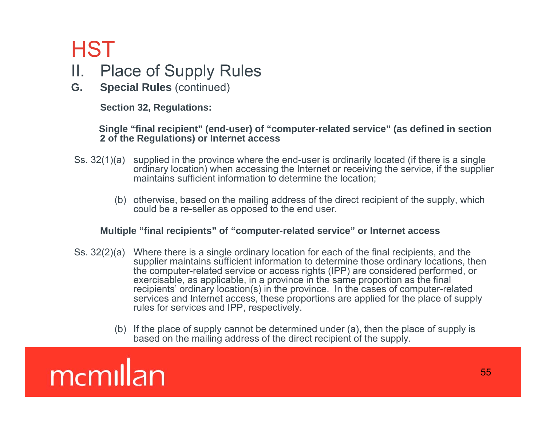### II. Place of Supply Rules

**G. Special Rules** (continued)

**Section 32, Regulations:** 

#### Single "final recipient" (end-user) of "computer-related service" (as defined in section **2 of the Regulations) or Internet access**

- Ss. 32(1)(a) supplied in the province where the end-user is ordinarily located (if there is a single ordinary location) when accessing the Internet or receiving the service, if the supplier maintains sufficient information to determine the location;
	- (b) otherwise, based on the mailing address of the direct recipient of the supply, which could be a re-seller as opposed to the end user.

#### **Multiple "final recipients" of "computer-related service" or Internet access**

- Ss. 32(2)(a) Where there is a single ordinary location for each of the final recipients, and the supplier maintains sufficient information to determine those ordinary locations, then the computer-related service or access rights (IPP) are considered performed, or exercisable, as applicable, in a province in the same proportion as the final recipients' ordinary location(s) in the province. In the cases of computer-related services and Internet access, these proportions are applied for the place of supply rules for services and IPP, respectively.
	- (b) If the place of supply cannot be determined under (a), then the place of supply is based on the mailing address of the direct recipient of the supply.

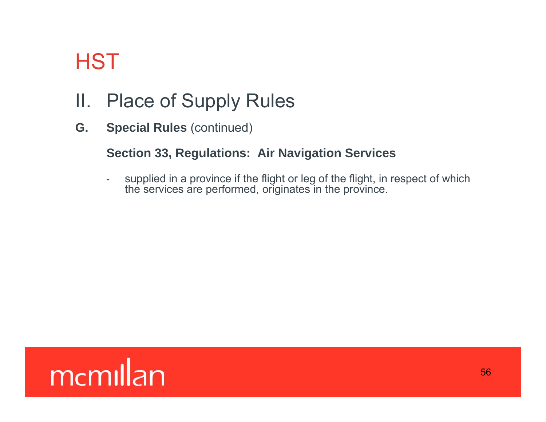## II. Place of Supply Rules

**G. Special Rules** (continued)

### **Section 33, Regulations: Air Navigation Services**

supplied in a province if the flight or leg of the flight, in respect of which the services are performed, originates in the province.

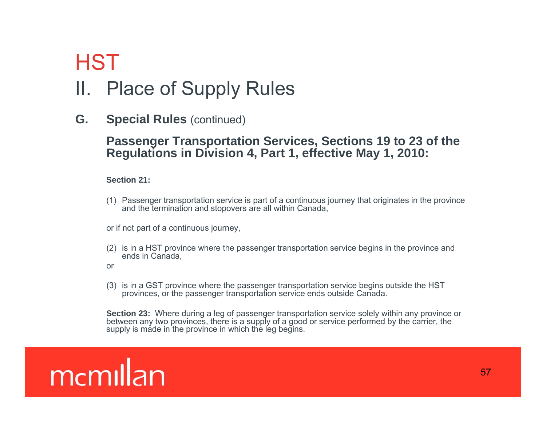### II. Place of Supply Rules

**G. Special Rules** (continued)

#### **Passenger Transportation Services, Sections 19 to 23 of the Regulations in Division 4, Part 1, effective May 1, 2010:**

#### **Section 21:**

(1) Passenger transportation service is part of a continuous journey that originates in the province and the termination and stopovers are all within Canada,

or if not part of a continuous journey,

- (2) is in a HST province where the passenger transportation service begins in the province and ends in Canada,
- or
- (3) is in a GST province where the passenger transportation service begins outside the HST provinces, or the passenger transportation service ends outside Canada.

**Section 23:** Where during a leg of passenger transportation service solely within any province or between any two provinces, there is a supply of a good or service performed by the carrier, the supply is made in the province in which the leg begins.

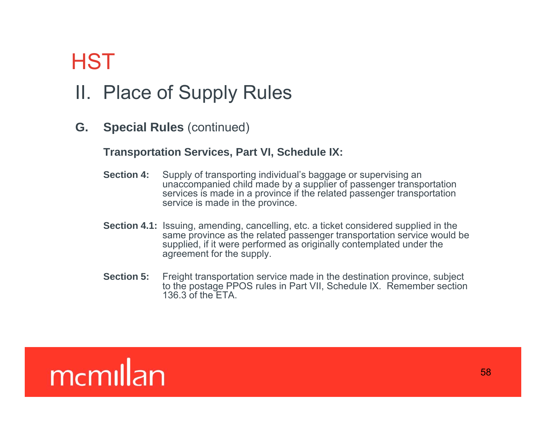## II. Place of Supply Rules

**G. Special Rules** (continued)

### **Transportation Services, Part VI, Schedule IX:**

- **Section 4:** Supply of transporting individual's baggage or supervising an unaccompanied child made by a supplier of passenger transportation services is made in a province if the related passenger transportation service is made in the province.
- **Section 4.1:** Issuing, amending, cancelling, etc. a ticket considered supplied in the same province as the related passenger transportation service would be supplied, if it were performed as originally contemplated under the agreement for the supply.
- **Section 5:** Freight transportation service made in the destination province, subject to the postage PPOS rules in Part VII, Schedule IX. Remember section 136.3 of the ETA.

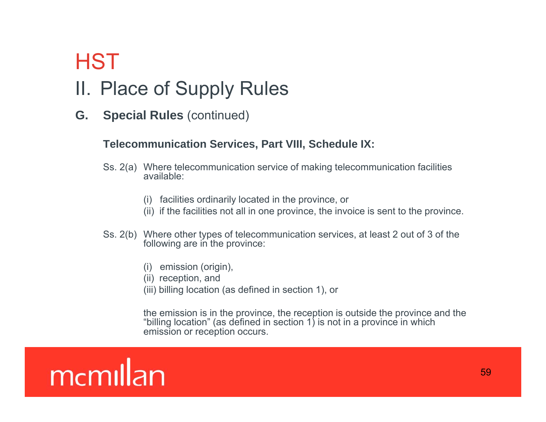## II. Place of Supply Rules

**G. Special Rules** (continued)

#### **Telecommunication Services, Part VIII, Schedule IX:**

- Ss. 2(a) Where telecommunication service of making telecommunication facilities available:
	- (i) facilities ordinarily located in the province, or
	- (ii) if the facilities not all in one province, the invoice is sent to the province.
- Ss. 2(b) Where other types of telecommunication services, at least 2 out of 3 of the following are in the province:
	- (i) emission (origin),
	- (ii) reception, and
	- (iii) billing location (as defined in section  $1$ ), or

the emission is in the province, the reception is outside the province and the "billing location" (as defined in section 1) is not in a province in which emission or reception occurs.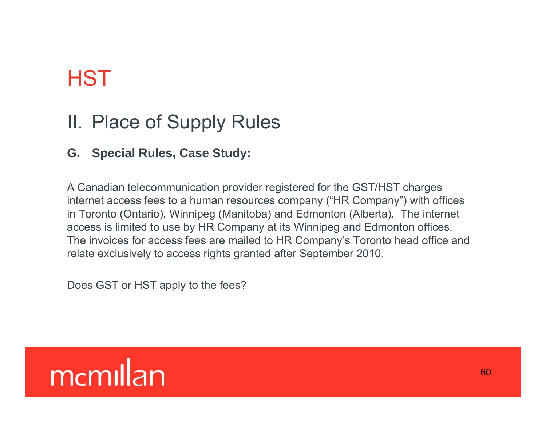### II. Place of Supply Rules

### **G. Special Rules, Case Study:**

A Canadian telecommunication provider registered for the GST/HST charges internet access fees to a human resources company ("HR Company") with offices in Toronto (Ontario), Winnipeg (Manitoba) and Edmonton (Alberta). The internet access is limited to use by HR Company at its Winnipeg and Edmonton offices. The invoices for access fees are mailed to HR Company's Toronto head office and relate exclusively to access rights granted after September 2010.

Does GST or HST apply to the fees?

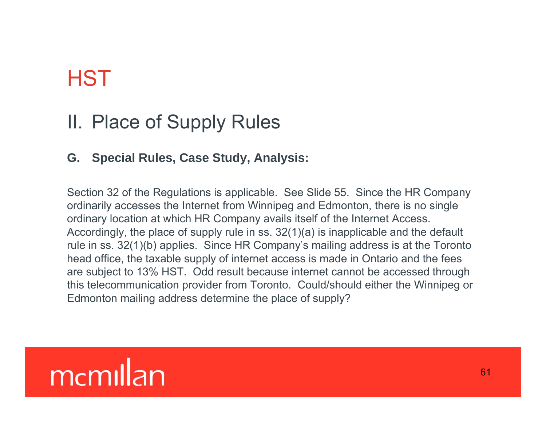### II. Place of Supply Rules

### **G. Special Rules, Case Study, Analysis:**

Section 32 of the Regulations is applicable. See Slide 55. Since the HR Company ordinarily accesses the Internet from Winnipeg and Edmonton, there is no single ordinary location at which HR Company avails itself of the Internet Access. Accordingly, the place of supply rule in ss.  $32(1)(a)$  is inapplicable and the default rule in ss. 32(1)(b) applies. Since HR Company's mailing address is at the Toronto head office, the taxable supply of internet access is made in Ontario and the fees are subject to 13% HST. Odd result because internet cannot be accessed through this telecommunication provider from Toronto. Could/should either the Winnipeg or Edmonton mailing address determine the place of supply?